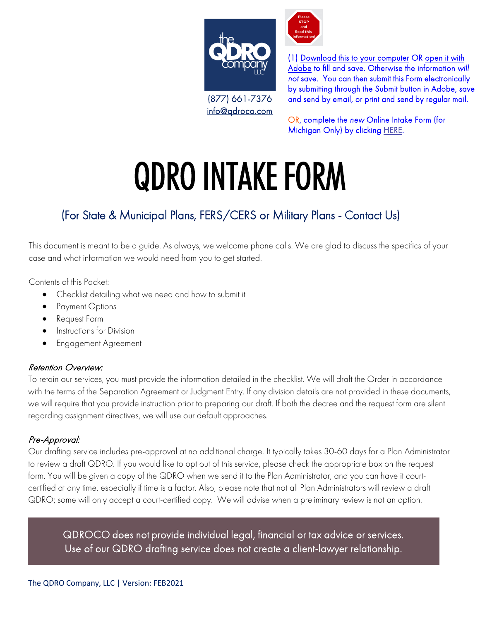

(877) 661-7376 [info@qdroco.com](mailto:info@qdroco.com) (1) Download this to your computer OR open it with Adobe to fill and save. Otherwise the information will not save. You can then submit this Form electronically by submitting through the Submit button in Adobe, save and send by email, or print and send by regular mail.

OR, complete the new Online Intake Form (for Michigan Only) by clicking [HERE](https://theqdrocompany.cliogrow.com/intake/z_eoL2nyaQpXqlVrEgEgYw).

# QDRO INTAKE FORM

#### (For State & Municipal Plans, FERS/CERS or Military Plans - Contact Us)

This document is meant to be a guide. As always, we welcome phone calls. We are glad to discuss the specifics of your case and what information we would need from you to get started.

Contents of this Packet:

- Checklist detailing what we need and how to submit it
- Payment Options
- Request Form
- Instructions for Division
- Engagement Agreement

#### Retention Overview:

To retain our services, you must provide the information detailed in the checklist. We will draft the Order in accordance with the terms of the Separation Agreement or Judgment Entry. If any division details are not provided in these documents, we will require that you provide instruction prior to preparing our draft. If both the decree and the request form are silent regarding assignment directives, we will use our default approaches.

#### Pre-Approval:

Our drafting service includes pre-approval at no additional charge. It typically takes 30-60 days for a Plan Administrator to review a draft QDRO. If you would like to opt out of this service, please check the appropriate box on the request form. You will be given a copy of the QDRO when we send it to the Plan Administrator, and you can have it courtcertified at any time, especially if time is a factor. Also, please note that not all Plan Administrators will review a draft QDRO; some will only accept a court-certified copy. We will advise when a preliminary review is not an option.

QDROCO does not provide individual legal, financial or tax advice or services.<br>Use of our QDRO drafting service does not create a client-lawyer relationship. Use of our QDRO drafting service does not create a client-lawyer relationship.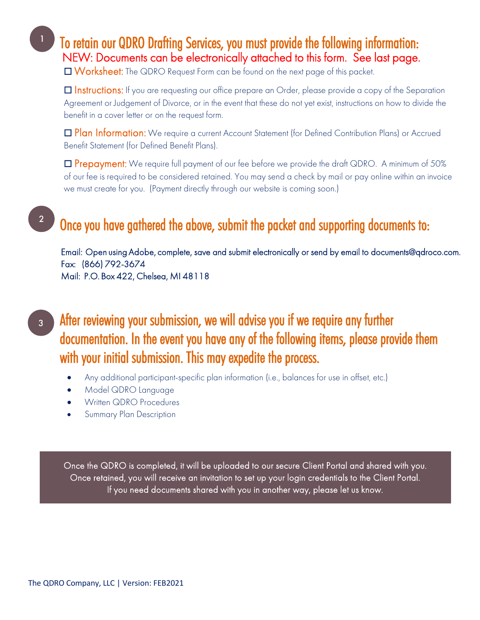To retain our QDRO Drafting Services, you must provide the following information: NEW: Documents can be electronically attached to this form. See last page.

☐ Worksheet: The QDRO Request Form can be found on the next page of this packet.

□ Instructions: If you are requesting our office prepare an Order, please provide a copy of the Separation Agreement or Judgement of Divorce, or in the event that these do not yet exist, instructions on how to divide the benefit in a cover letter or on the request form.

□ Plan Information: We require a current Account Statement (for Defined Contribution Plans) or Accrued Benefit Statement (for Defined Benefit Plans).

□ Prepayment: We require full payment of our fee before we provide the draft QDRO. A minimum of 50% of our fee is required to be considered retained. You may send a check by mail or pay online within an invoice we must create for you. (Payment directly through our website is coming soon.)

### Once you have gathered the above, submit the packet and supporting documents to:

Email: [Open using Adobe,](mailto:documents@qdroco.com) complete, save and submit electronically or send by email to documents@qdroco.com. Fax: (866) 792-3674 Mail: P.O. Box 422, Chelsea, MI 48118

3

2

After reviewing your submission, we will advise you if we require any further documentation. In the event you have any of the following items, please provide them with your initial submission. This may expedite the process.

- Any additional participant-specific plan information (i.e., balances for use in offset, etc.)
- Model QDRO Language
- Written QDRO Procedures
- Summary Plan Description

Once the QDRO is completed, it will be uploaded to our secure Client Portal and shared with you. Once retained, you will receive an invitation to set up your login credentials to the Client Portal. If you need documents shared with you in another way, please let us know.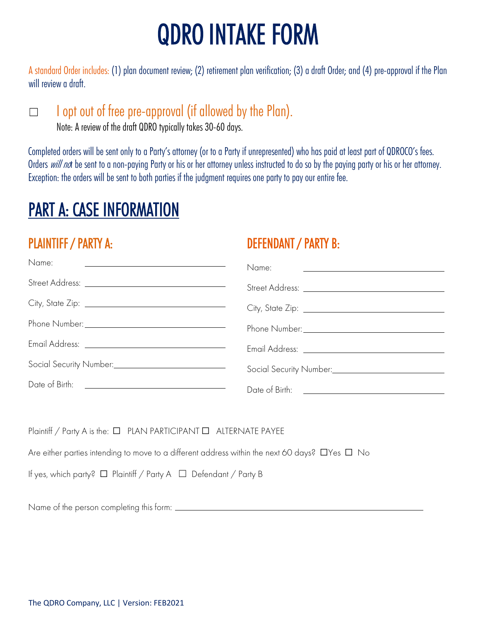# QDRO INTAKE FORM

A standard Order includes: (1) plan document review; (2) retirement plan verification; (3) a draft Order; and (4) pre-approval if the Plan will review a draft.

□ I opt out of free pre-approval (if allowed by the Plan).

Note: A review of the draft QDRO typically takes 30-60 days.

Completed orders will be sent only to a Party's attorney (or to a Party if unrepresented) who has paid at least part of QDROCO's fees. Orders will not be sent to a non-paying Party or his or her attorney unless instructed to do so by the paying party or his or her attorney. Exception: the orders will be sent to both parties if the judgment requires one party to pay our entire fee.

# PART A: CASE INFORMATION

#### PLAINTIFF / PARTY A:

#### DEFENDANT / PARTY B:

| Name:                        | Name:                                                     |
|------------------------------|-----------------------------------------------------------|
|                              |                                                           |
|                              |                                                           |
|                              | Phone Number: 1988                                        |
|                              |                                                           |
| Social Security Number: 1988 | Social Security Number:<br><u>Cocial Security Number:</u> |
|                              |                                                           |
|                              |                                                           |

Plaintiff / Party A is the: □ PLAN PARTICIPANT □ ALTERNATE PAYEE

Are either parties intending to move to a different address within the next 60 days?  $\square$  Yes  $\square$  No

If yes, which party? ☐ Plaintiff / Party A ☐ Defendant / Party B

Name of the person completing this form: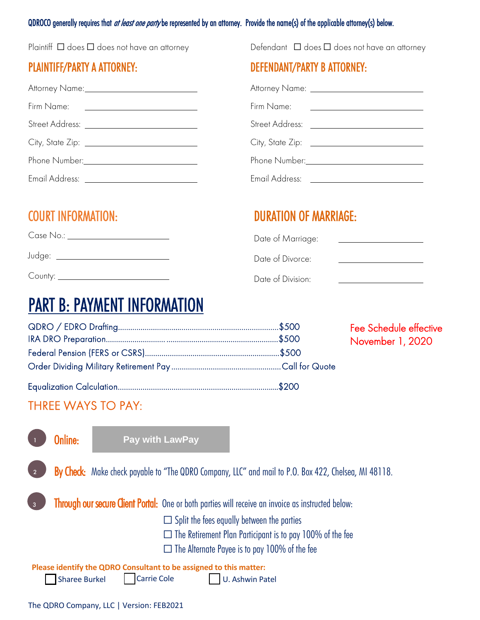#### QDROCO generally requires that *at least one party* be represented by an attorney. Provide the name(s) of the applicable attorney(s) below.

Plaintiff  $\Box$  does  $\Box$  does not have an attorney

#### PLAINTIFF/PARTY A ATTORNEY:

|                | Attorney Name: 2008 and 2008 and 2008               |  |
|----------------|-----------------------------------------------------|--|
| Firm Name:     | <u> 1989 - Andrea Station Barbara, amerikan per</u> |  |
|                |                                                     |  |
|                |                                                     |  |
| Phone Number:  |                                                     |  |
| Email Address: |                                                     |  |

Defendant  $\Box$  does  $\Box$  does not have an attorney

#### DEFENDANT/PARTY B ATTORNEY:

|                        | Attorney Name: 2008 |
|------------------------|---------------------|
| Firm Name:             |                     |
| <b>Street Address:</b> |                     |
| City, State Zip:       |                     |
| Phone Number:          |                     |
| Email Address:         |                     |

#### COURT INFORMATION:

Case No.:

Judge:

County: <u>County: County:</u>

#### DURATION OF MARRIAGE:

| Date of Marriage: |  |
|-------------------|--|
| Date of Divorce:  |  |
| Date of Division: |  |

## PART B: PAYMENT INFORMATION

|  | <b>Fee Schedule effective</b><br>November 1, 2020 |
|--|---------------------------------------------------|
|  |                                                   |
|  |                                                   |
|  |                                                   |

#### THREE WAYS TO PAY:

|                                                                                                                                                                                             | Online: | <b>Pay with LawPay</b>                                                                                                                                                                                                      |  |  |
|---------------------------------------------------------------------------------------------------------------------------------------------------------------------------------------------|---------|-----------------------------------------------------------------------------------------------------------------------------------------------------------------------------------------------------------------------------|--|--|
| $\overline{2}$                                                                                                                                                                              |         | By Check: Make check payable to "The QDRO Company, LLC" and mail to P.O. Box 422, Chelsea, MI 48118.                                                                                                                        |  |  |
| $\overline{3}$                                                                                                                                                                              |         | Through our secure Client Portal: One or both parties will receive an invoice as instructed below:<br>$\Box$ Split the fees equally between the parties<br>$\Box$ The Retirement Plan Participant is to pay 100% of the fee |  |  |
| $\Box$ The Alternate Payee is to pay 100% of the fee<br>Please identify the QDRO Consultant to be assigned to this matter:<br>Carrie Cole<br><b>Sharee Burkel</b><br><b>U. Ashwin Patel</b> |         |                                                                                                                                                                                                                             |  |  |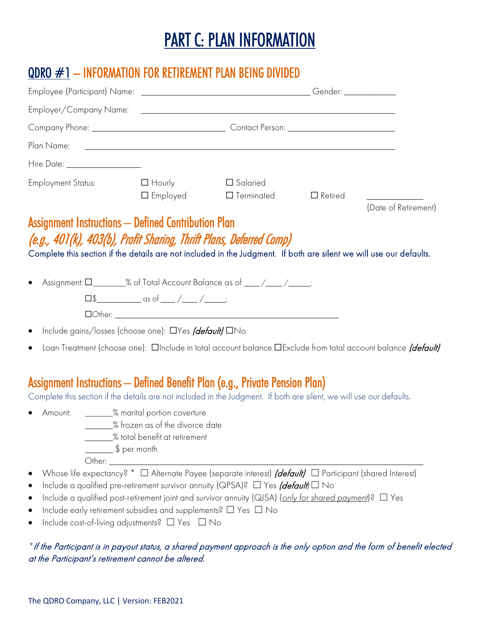# PART C: PLAN INFORMATION

#### QDRO #1 – INFORMATION FOR RETIREMENT PLAN BEING DIVIDED

| Plan Name:                                                                                                                                                                                                                                                                                                                                                                                                                                                                                                                            |                                                                         | <u> 1990 - Johann John Stone, marking ar yn it ferfing yn it ferfing yn it ferfing yn it ferfing yn it ferfing yn </u> |                |                      |
|---------------------------------------------------------------------------------------------------------------------------------------------------------------------------------------------------------------------------------------------------------------------------------------------------------------------------------------------------------------------------------------------------------------------------------------------------------------------------------------------------------------------------------------|-------------------------------------------------------------------------|------------------------------------------------------------------------------------------------------------------------|----------------|----------------------|
| Hire Date: <u>New York Barnetts and the Date:</u>                                                                                                                                                                                                                                                                                                                                                                                                                                                                                     |                                                                         |                                                                                                                        |                |                      |
| <b>Employment Status:</b>                                                                                                                                                                                                                                                                                                                                                                                                                                                                                                             | $\Box$ Hourly<br>$\square$ Employed                                     | □ Salaried<br>$\square$ Terminated                                                                                     | $\Box$ Retired | (Date of Retirement) |
| (e.g., 401(k), 403(b), Profit Sharing, Thrift Plans, Deferred Comp)<br>Complete this section if the details are not included in the Judgment. If both are silent we will use our defaults.<br>Assignment: 0_________% of Total Account Balance as of _____/_________;                                                                                                                                                                                                                                                                 |                                                                         |                                                                                                                        |                |                      |
|                                                                                                                                                                                                                                                                                                                                                                                                                                                                                                                                       |                                                                         |                                                                                                                        |                |                      |
| Include gains/losses (choose one): DYes <i>(default)</i> DNo<br>$\bullet$                                                                                                                                                                                                                                                                                                                                                                                                                                                             |                                                                         |                                                                                                                        |                |                      |
| Loan Treatment (choose one): <b>On allet uses</b> in total account balance DExclude from total account balance <i>(default)</i><br>$\bullet$                                                                                                                                                                                                                                                                                                                                                                                          |                                                                         |                                                                                                                        |                |                      |
| Assignment Instructions — Defined Benefit Plan (e.g., Private Pension Plan)<br>Complete this section if the details are not included in the Judgment. If both are silent, we will use our defaults.<br>• Amount: _______% marital portion coverture<br>$\frac{1}{2}$ \$ per month                                                                                                                                                                                                                                                     | _______% frozen as of the divorce date<br>% total benefit at retirement |                                                                                                                        |                |                      |
| Whose life expectancy? * $\Box$ Alternate Payee (separate interest) <i>(default)</i> $\Box$ Participant (shared Interest)<br>$\bullet$<br>Include a qualified pre-retirement survivor annuity (QPSA)? $\Box$ Yes <i>(default</i> ) $\Box$ No<br>$\bullet$<br>Include a qualified post-retirement joint and survivor annuity (QJSA) (only for shared payment)? $\Box$ Yes<br>$\bullet$<br>Include early retirement subsidies and supplements? $\Box$ Yes $\Box$ No<br>$\bullet$<br>Include cost-of-living adjustments? □ Yes □ No<br>٠ |                                                                         |                                                                                                                        |                |                      |

#### *\**If the Participant is in payout status, a shared payment approach is the only option and the form of benefit elected at the Participant's retirement cannot be altered.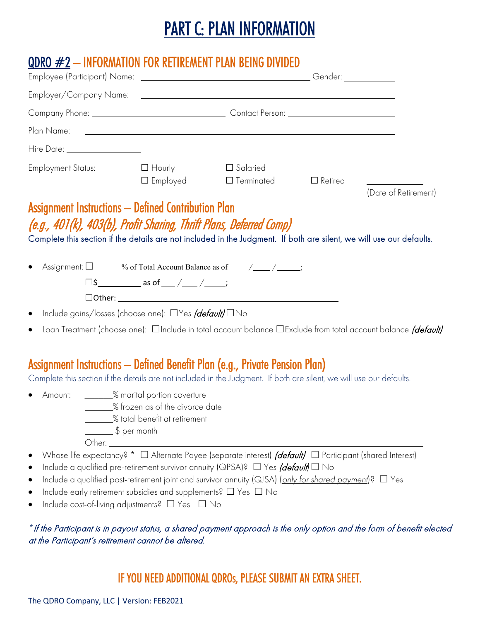# PART C: PLAN INFORMATION

#### $QDRO \#2 - INFORMATION FOR RETIREMENT PLAN BEING DIVIDED$

| Company Phone: <u>Company Phone:</u> Contact Person: <u>Contact Person:</u>                                                                                                                                                                                                                                                                                                                                                                                                 |                                                                            |                                                             |                      |
|-----------------------------------------------------------------------------------------------------------------------------------------------------------------------------------------------------------------------------------------------------------------------------------------------------------------------------------------------------------------------------------------------------------------------------------------------------------------------------|----------------------------------------------------------------------------|-------------------------------------------------------------|----------------------|
| Plan Name:                                                                                                                                                                                                                                                                                                                                                                                                                                                                  |                                                                            | <u> 1990 - Johann Stoff, amerikansk politiker (d. 1980)</u> |                      |
| Hire Date: ___________________                                                                                                                                                                                                                                                                                                                                                                                                                                              |                                                                            |                                                             |                      |
| Employment Status: $\Box$ Hourly                                                                                                                                                                                                                                                                                                                                                                                                                                            | $\square$ Employed                                                         | $\Box$ Salaried<br>$\Box$ Terminated $\Box$ Retired         | (Date of Retirement) |
| (e.g., 401(k), 403(b), Profit Sharing, Thrift Plans, Deferred Comp)<br>Complete this section if the details are not included in the Judgment. If both are silent, we will use our defaults.                                                                                                                                                                                                                                                                                 |                                                                            |                                                             |                      |
| Assignment: $\square$ % of Total Account Balance as of __/__/__/                                                                                                                                                                                                                                                                                                                                                                                                            |                                                                            |                                                             |                      |
|                                                                                                                                                                                                                                                                                                                                                                                                                                                                             | $\square$ \$_______________ as of ____ / _____ / ______;                   |                                                             |                      |
| Include gains/losses (choose one): □Yes <i>(default)</i> □No                                                                                                                                                                                                                                                                                                                                                                                                                |                                                                            |                                                             |                      |
| Loan Treatment (choose one): <b>Include in total account balance I</b> Exclude from total account balance <i>(default)</i>                                                                                                                                                                                                                                                                                                                                                  |                                                                            |                                                             |                      |
|                                                                                                                                                                                                                                                                                                                                                                                                                                                                             |                                                                            |                                                             |                      |
| Assignment Instructions — Defined Benefit Plan (e.g., Private Pension Plan)<br>Complete this section if the details are not included in the Judgment. If both are silent, we will use our defaults.                                                                                                                                                                                                                                                                         |                                                                            |                                                             |                      |
| Amount: ________% marital portion coverture<br>$\frac{1}{2}$ \$ per month                                                                                                                                                                                                                                                                                                                                                                                                   | _______% frozen as of the divorce date<br>$\%$ total benefit at retirement |                                                             |                      |
| Whose life expectancy? * $\Box$ Alternate Payee (separate interest) <i>(default)</i> $\Box$ Participant (shared Interest)<br>Include a qualified pre-retirement survivor annuity (QPSA)? $\Box$ Yes <i>(default)</i> $\Box$ No<br>Include a qualified post-retirement joint and survivor annuity (QJSA) (only for shared payment)? $\Box$ Yes<br>Include early retirement subsidies and supplements? $\Box$ Yes $\Box$ No<br>Include cost-of-living adjustments? □ Yes □ No |                                                                            |                                                             |                      |
|                                                                                                                                                                                                                                                                                                                                                                                                                                                                             |                                                                            |                                                             |                      |

*\**If the Participant is in payout status, a shared payment approach is the only option and the form of benefit elected at the Participant's retirement cannot be altered.

#### IF YOU NEED ADDITIONAL QDROs, PLEASE SUBMIT AN EXTRA SHEET.